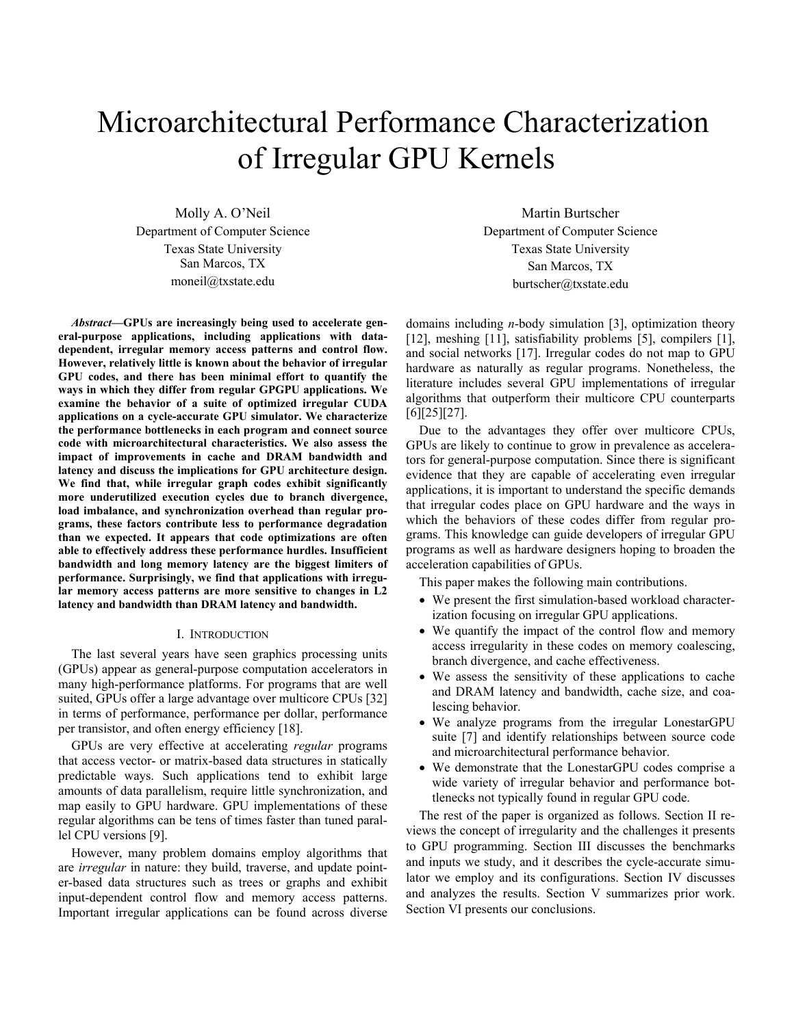# Microarchitectural Performance Characterization of Irregular GPU Kernels

Molly A. O'Neil Department of Computer Science Texas State University San Marcos, TX moneil@txstate.edu

*Abstract***—GPUs are increasingly being used to accelerate general-purpose applications, including applications with datadependent, irregular memory access patterns and control flow. However, relatively little is known about the behavior of irregular GPU codes, and there has been minimal effort to quantify the ways in which they differ from regular GPGPU applications. We examine the behavior of a suite of optimized irregular CUDA applications on a cycle-accurate GPU simulator. We characterize the performance bottlenecks in each program and connect source code with microarchitectural characteristics. We also assess the impact of improvements in cache and DRAM bandwidth and latency and discuss the implications for GPU architecture design. We find that, while irregular graph codes exhibit significantly more underutilized execution cycles due to branch divergence, load imbalance, and synchronization overhead than regular programs, these factors contribute less to performance degradation than we expected. It appears that code optimizations are often able to effectively address these performance hurdles. Insufficient bandwidth and long memory latency are the biggest limiters of performance. Surprisingly, we find that applications with irregular memory access patterns are more sensitive to changes in L2 latency and bandwidth than DRAM latency and bandwidth.** 

## I. INTRODUCTION

The last several years have seen graphics processing units (GPUs) appear as general-purpose computation accelerators in many high-performance platforms. For programs that are well suited, GPUs offer a large advantage over multicore CPUs [32] in terms of performance, performance per dollar, performance per transistor, and often energy efficiency [18].

GPUs are very effective at accelerating *regular* programs that access vector- or matrix-based data structures in statically predictable ways. Such applications tend to exhibit large amounts of data parallelism, require little synchronization, and map easily to GPU hardware. GPU implementations of these regular algorithms can be tens of times faster than tuned parallel CPU versions [9].

However, many problem domains employ algorithms that are *irregular* in nature: they build, traverse, and update pointer-based data structures such as trees or graphs and exhibit input-dependent control flow and memory access patterns. Important irregular applications can be found across diverse

Martin Burtscher Department of Computer Science Texas State University San Marcos, TX burtscher@txstate.edu

domains including *n*-body simulation [3], optimization theory [12], meshing [11], satisfiability problems [5], compilers [1], and social networks [17]. Irregular codes do not map to GPU hardware as naturally as regular programs. Nonetheless, the literature includes several GPU implementations of irregular algorithms that outperform their multicore CPU counterparts [6][25][27].

Due to the advantages they offer over multicore CPUs, GPUs are likely to continue to grow in prevalence as accelerators for general-purpose computation. Since there is significant evidence that they are capable of accelerating even irregular applications, it is important to understand the specific demands that irregular codes place on GPU hardware and the ways in which the behaviors of these codes differ from regular programs. This knowledge can guide developers of irregular GPU programs as well as hardware designers hoping to broaden the acceleration capabilities of GPUs.

This paper makes the following main contributions.

- We present the first simulation-based workload characterization focusing on irregular GPU applications.
- We quantify the impact of the control flow and memory access irregularity in these codes on memory coalescing, branch divergence, and cache effectiveness.
- We assess the sensitivity of these applications to cache and DRAM latency and bandwidth, cache size, and coalescing behavior.
- We analyze programs from the irregular LonestarGPU suite [7] and identify relationships between source code and microarchitectural performance behavior.
- We demonstrate that the LonestarGPU codes comprise a wide variety of irregular behavior and performance bottlenecks not typically found in regular GPU code.

The rest of the paper is organized as follows. Section II reviews the concept of irregularity and the challenges it presents to GPU programming. Section III discusses the benchmarks and inputs we study, and it describes the cycle-accurate simulator we employ and its configurations. Section IV discusses and analyzes the results. Section V summarizes prior work. Section VI presents our conclusions.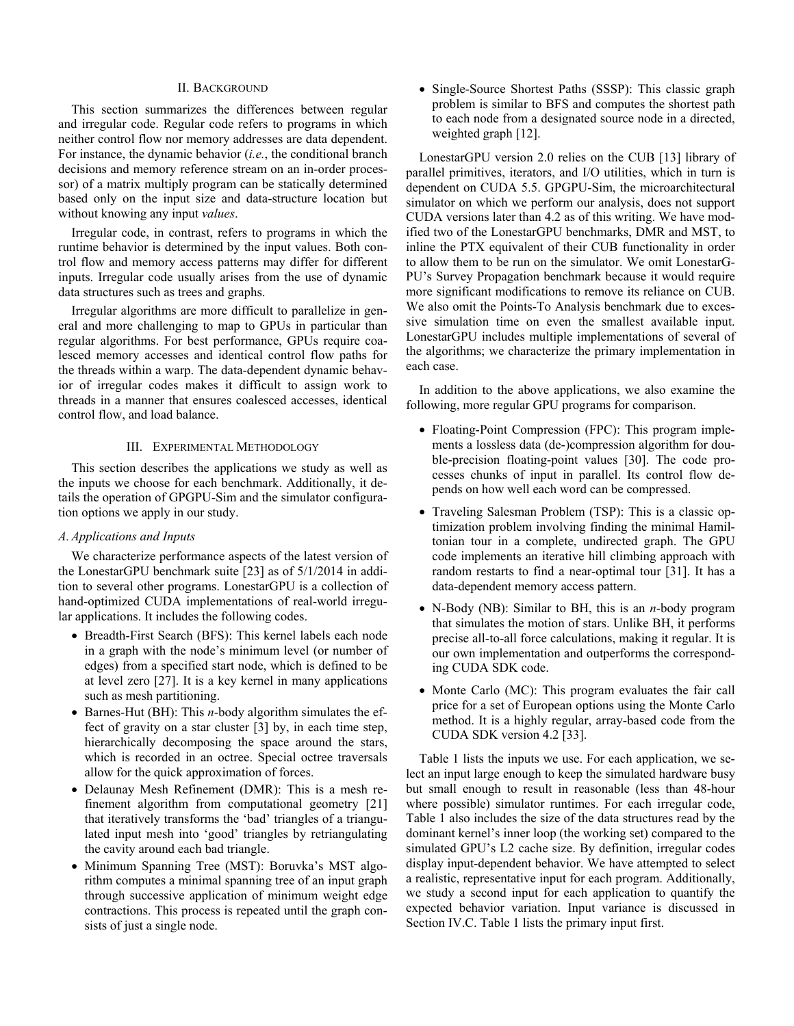#### II. BACKGROUND

This section summarizes the differences between regular and irregular code. Regular code refers to programs in which neither control flow nor memory addresses are data dependent. For instance, the dynamic behavior (*i.e.*, the conditional branch decisions and memory reference stream on an in-order processor) of a matrix multiply program can be statically determined based only on the input size and data-structure location but without knowing any input *values*.

Irregular code, in contrast, refers to programs in which the runtime behavior is determined by the input values. Both control flow and memory access patterns may differ for different inputs. Irregular code usually arises from the use of dynamic data structures such as trees and graphs.

Irregular algorithms are more difficult to parallelize in general and more challenging to map to GPUs in particular than regular algorithms. For best performance, GPUs require coalesced memory accesses and identical control flow paths for the threads within a warp. The data-dependent dynamic behavior of irregular codes makes it difficult to assign work to threads in a manner that ensures coalesced accesses, identical control flow, and load balance.

## III. EXPERIMENTAL METHODOLOGY

This section describes the applications we study as well as the inputs we choose for each benchmark. Additionally, it details the operation of GPGPU-Sim and the simulator configuration options we apply in our study.

## *A.Applications and Inputs*

We characterize performance aspects of the latest version of the LonestarGPU benchmark suite [23] as of 5/1/2014 in addition to several other programs. LonestarGPU is a collection of hand-optimized CUDA implementations of real-world irregular applications. It includes the following codes.

- Breadth-First Search (BFS): This kernel labels each node in a graph with the node's minimum level (or number of edges) from a specified start node, which is defined to be at level zero [27]. It is a key kernel in many applications such as mesh partitioning.
- Barnes-Hut (BH): This *n*-body algorithm simulates the effect of gravity on a star cluster [3] by, in each time step, hierarchically decomposing the space around the stars, which is recorded in an octree. Special octree traversals allow for the quick approximation of forces.
- Delaunay Mesh Refinement (DMR): This is a mesh refinement algorithm from computational geometry [21] that iteratively transforms the 'bad' triangles of a triangulated input mesh into 'good' triangles by retriangulating the cavity around each bad triangle.
- Minimum Spanning Tree (MST): Boruvka's MST algorithm computes a minimal spanning tree of an input graph through successive application of minimum weight edge contractions. This process is repeated until the graph consists of just a single node.

• Single-Source Shortest Paths (SSSP): This classic graph problem is similar to BFS and computes the shortest path to each node from a designated source node in a directed, weighted graph [12].

LonestarGPU version 2.0 relies on the CUB [13] library of parallel primitives, iterators, and I/O utilities, which in turn is dependent on CUDA 5.5. GPGPU-Sim, the microarchitectural simulator on which we perform our analysis, does not support CUDA versions later than 4.2 as of this writing. We have modified two of the LonestarGPU benchmarks, DMR and MST, to inline the PTX equivalent of their CUB functionality in order to allow them to be run on the simulator. We omit LonestarG-PU's Survey Propagation benchmark because it would require more significant modifications to remove its reliance on CUB. We also omit the Points-To Analysis benchmark due to excessive simulation time on even the smallest available input. LonestarGPU includes multiple implementations of several of the algorithms; we characterize the primary implementation in each case.

In addition to the above applications, we also examine the following, more regular GPU programs for comparison.

- Floating-Point Compression (FPC): This program implements a lossless data (de-)compression algorithm for double-precision floating-point values [30]. The code processes chunks of input in parallel. Its control flow depends on how well each word can be compressed.
- Traveling Salesman Problem (TSP): This is a classic optimization problem involving finding the minimal Hamiltonian tour in a complete, undirected graph. The GPU code implements an iterative hill climbing approach with random restarts to find a near-optimal tour [31]. It has a data-dependent memory access pattern.
- N-Body (NB): Similar to BH, this is an *n*-body program that simulates the motion of stars. Unlike BH, it performs precise all-to-all force calculations, making it regular. It is our own implementation and outperforms the corresponding CUDA SDK code.
- Monte Carlo (MC): This program evaluates the fair call price for a set of European options using the Monte Carlo method. It is a highly regular, array-based code from the CUDA SDK version 4.2 [33].

Table 1 lists the inputs we use. For each application, we select an input large enough to keep the simulated hardware busy but small enough to result in reasonable (less than 48-hour where possible) simulator runtimes. For each irregular code, Table 1 also includes the size of the data structures read by the dominant kernel's inner loop (the working set) compared to the simulated GPU's L2 cache size. By definition, irregular codes display input-dependent behavior. We have attempted to select a realistic, representative input for each program. Additionally, we study a second input for each application to quantify the expected behavior variation. Input variance is discussed in Section IV.C. Table 1 lists the primary input first.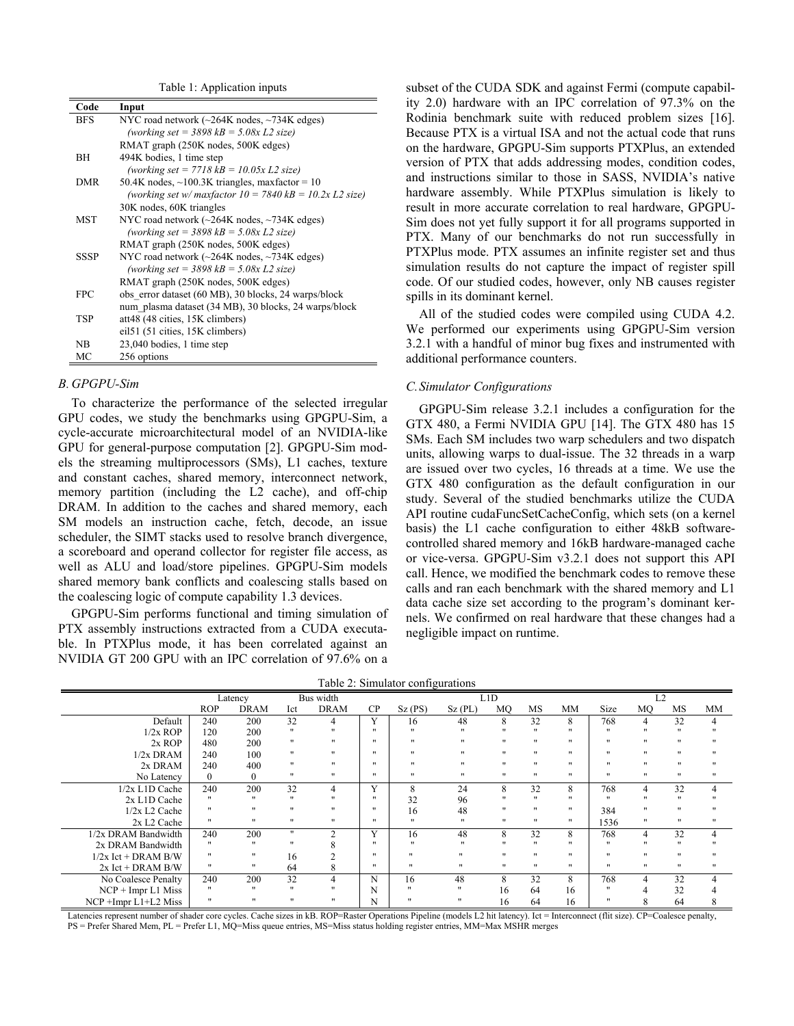Table 1: Application inputs

| Code       | Input                                                       |
|------------|-------------------------------------------------------------|
| BFS        | NYC road network $(\sim 264K$ nodes, $\sim 734K$ edges)     |
|            | (working set = $3898$ kB = $5.08x$ L2 size)                 |
|            | RMAT graph (250K nodes, 500K edges)                         |
| BH         | 494K bodies, 1 time step                                    |
|            | (working set = 7718 kB = 10.05x L2 size)                    |
| DMR        | 50.4K nodes, $\sim$ 100.3K triangles, maxfactor = 10        |
|            | (working set w/ maxfactor $10 = 7840$ kB = $10.2x$ L2 size) |
|            | 30K nodes, 60K triangles                                    |
| <b>MST</b> | NYC road network $(\sim 264K$ nodes, $\sim 734K$ edges)     |
|            | (working set = $3898$ kB = $5.08x$ L2 size)                 |
|            | RMAT graph (250K nodes, 500K edges)                         |
| SSSP       | NYC road network $(\sim 264K$ nodes, $\sim 734K$ edges)     |
|            | (working set = $3898$ kB = $5.08x$ L2 size)                 |
|            | RMAT graph (250K nodes, 500K edges)                         |
| <b>FPC</b> | obs error dataset (60 MB), 30 blocks, 24 warps/block        |
|            | num plasma dataset (34 MB), 30 blocks, 24 warps/block       |
| <b>TSP</b> | att48 (48 cities, 15K climbers)                             |
|            | eil51 (51 cities, 15K climbers)                             |
| NB         | 23,040 bodies, 1 time step                                  |
| МC         | 256 options                                                 |

# *B. GPGPU-Sim*

To characterize the performance of the selected irregular GPU codes, we study the benchmarks using GPGPU-Sim, a cycle-accurate microarchitectural model of an NVIDIA-like GPU for general-purpose computation [2]. GPGPU-Sim models the streaming multiprocessors (SMs), L1 caches, texture and constant caches, shared memory, interconnect network, memory partition (including the L2 cache), and off-chip DRAM. In addition to the caches and shared memory, each SM models an instruction cache, fetch, decode, an issue scheduler, the SIMT stacks used to resolve branch divergence, a scoreboard and operand collector for register file access, as well as ALU and load/store pipelines. GPGPU-Sim models shared memory bank conflicts and coalescing stalls based on the coalescing logic of compute capability 1.3 devices.

GPGPU-Sim performs functional and timing simulation of PTX assembly instructions extracted from a CUDA executable. In PTXPlus mode, it has been correlated against an NVIDIA GT 200 GPU with an IPC correlation of 97.6% on a

subset of the CUDA SDK and against Fermi (compute capability 2.0) hardware with an IPC correlation of 97.3% on the Rodinia benchmark suite with reduced problem sizes [16]. Because PTX is a virtual ISA and not the actual code that runs on the hardware, GPGPU-Sim supports PTXPlus, an extended version of PTX that adds addressing modes, condition codes, and instructions similar to those in SASS, NVIDIA's native hardware assembly. While PTXPlus simulation is likely to result in more accurate correlation to real hardware, GPGPU-Sim does not yet fully support it for all programs supported in PTX. Many of our benchmarks do not run successfully in PTXPlus mode. PTX assumes an infinite register set and thus simulation results do not capture the impact of register spill code. Of our studied codes, however, only NB causes register spills in its dominant kernel.

All of the studied codes were compiled using CUDA 4.2. We performed our experiments using GPGPU-Sim version 3.2.1 with a handful of minor bug fixes and instrumented with additional performance counters.

## *C.Simulator Configurations*

GPGPU-Sim release 3.2.1 includes a configuration for the GTX 480, a Fermi NVIDIA GPU [14]. The GTX 480 has 15 SMs. Each SM includes two warp schedulers and two dispatch units, allowing warps to dual-issue. The 32 threads in a warp are issued over two cycles, 16 threads at a time. We use the GTX 480 configuration as the default configuration in our study. Several of the studied benchmarks utilize the CUDA API routine cudaFuncSetCacheConfig, which sets (on a kernel basis) the L1 cache configuration to either 48kB softwarecontrolled shared memory and 16kB hardware-managed cache or vice-versa. GPGPU-Sim v3.2.1 does not support this API call. Hence, we modified the benchmark codes to remove these calls and ran each benchmark with the shared memory and L1 data cache size set according to the program's dominant kernels. We confirmed on real hardware that these changes had a negligible impact on runtime.

| $1$ avic $2$ . Simulator configurations |                   |              |                   |                   |                   |                   |                   |                   |                   |                |                   |                |                   |    |
|-----------------------------------------|-------------------|--------------|-------------------|-------------------|-------------------|-------------------|-------------------|-------------------|-------------------|----------------|-------------------|----------------|-------------------|----|
|                                         | Latency           |              | Bus width         |                   |                   | L1D               |                   |                   |                   |                | L <sub>2</sub>    |                |                   |    |
|                                         | <b>ROP</b>        | <b>DRAM</b>  | Ict               | <b>DRAM</b>       | CP                | $Sz$ (PS)         | $Sz$ (PL)         | MO                | MS                | MМ             | Size              | M <sub>O</sub> | MS                | МM |
| Default                                 | 240               | 200          | 32                | 4                 | Y                 | 16                | 48                | 8                 | 32                | 8              | 768               | 4              | 32                |    |
| $1/2x$ ROP                              | 120               | 200          | $^{\prime\prime}$ | $^{\prime\prime}$ | $\cdot$           |                   |                   |                   | $^{\bullet}$      |                | $^{\prime\prime}$ |                |                   |    |
| $2x$ ROP                                | 480               | 200          |                   | $^{\prime\prime}$ | $\mathbf{u}$      | $\mathbf{H}$      |                   | $^{\prime\prime}$ | $^{\prime\prime}$ |                | $^{\prime\prime}$ | $\mathbf{H}$   | $^{\prime\prime}$ |    |
| $1/2x$ DRAM                             | 240               | 100          | $^{\prime\prime}$ | $^{\prime\prime}$ | $^{\prime\prime}$ | $^{\prime\prime}$ |                   | $^{\prime\prime}$ | $\mathbf{H}$      |                | $^{\prime\prime}$ | $\mathbf{H}$   | $^{\prime\prime}$ |    |
| 2x DRAM                                 | 240               | 400          | $^{\prime\prime}$ | $^{\prime\prime}$ |                   | $^{\prime\prime}$ | $\mathbf{H}$      | $^{\prime\prime}$ | $^{\prime\prime}$ | $\mathbf{H}$   | $^{\prime\prime}$ | $\mathbf{H}$   | $^{\prime\prime}$ |    |
| No Latency                              | $\Omega$          | 0            | $^{\prime\prime}$ | $^{\prime\prime}$ | $^{\prime\prime}$ | $^{\prime\prime}$ |                   | $^{\prime\prime}$ | $^{\prime\prime}$ |                | $^{\prime\prime}$ | $\mathbf{H}$   | $^{\prime\prime}$ |    |
| 1/2x L1D Cache                          | 240               | 200          | 32                | 4                 | Y                 | 8                 | 24                | 8                 | 32                | 8              | 768               |                | 32                |    |
| 2x L1D Cache                            |                   | $\mathbf{H}$ | $^{\prime\prime}$ | $^{\prime}$       | $^{\prime\prime}$ | 32                | 96                |                   |                   |                | $\cdot$           |                |                   |    |
| $1/2x$ L <sub>2</sub> Cache             |                   |              | $^{\prime\prime}$ |                   | $^{\prime\prime}$ | 16                | 48                | $^{\prime\prime}$ | $^{\bullet}$      | $\blacksquare$ | 384               |                |                   |    |
| 2x L2 Cache                             | $\mathbf{H}$      | $\mathbf{H}$ |                   | $^{\prime\prime}$ | $\mathbf{u}$      | $\mathbf{H}$      |                   | $^{\prime\prime}$ | $^{\prime\prime}$ | $\mathbf{H}$   | 1536              | $\blacksquare$ | $^{\prime\prime}$ |    |
| 1/2x DRAM Bandwidth                     | 240               | 200          |                   | <sup>1</sup>      | Y                 | 16                | 48                | 8                 | 32                | 8              | 768               | 4              | 32                |    |
| 2x DRAM Bandwidth                       |                   | $\mathbf{H}$ | $^{\prime\prime}$ |                   | $^{\prime\prime}$ |                   |                   |                   | $^{\bullet}$      |                | $^{\prime\prime}$ |                | $^{\bullet}$      |    |
| $1/2x$ Ict + DRAM B/W                   | $\mathbf{H}$      |              | 16                |                   | $\mathbf{u}$      |                   | $\mathbf{H}$      | $^{\prime\prime}$ | $^{\prime\prime}$ |                | $^{\prime\prime}$ | $\mathbf{H}$   | $^{\prime\prime}$ |    |
| $2x$ Ict + DRAM B/W                     | $^{\prime\prime}$ |              | 64                | 8                 | $^{\prime\prime}$ |                   | $^{\prime\prime}$ | $^{\prime\prime}$ | $^{\prime\prime}$ | $\mathbf{H}$   | $^{\prime\prime}$ | $\mathbf{H}$   | $^{\prime\prime}$ |    |
| No Coalesce Penalty                     | 240               | 200          | 32                | 4                 | N                 | 16                | 48                | $\boldsymbol{8}$  | 32                | 8              | 768               |                | 32                |    |
| $NCP + Impr L1$ Miss                    |                   | $\mathbf{H}$ | $^{\prime\prime}$ |                   | N                 |                   | $^{\prime\prime}$ | 16                | 64                | 16             |                   |                | 32                |    |
| NCP +Impr L1+L2 Miss                    |                   |              | "                 | $^{\prime\prime}$ | N                 | $^{\prime\prime}$ | $^{\prime\prime}$ | 16                | 64                | 16             | $^{\prime}$       |                | 64                | 8  |

Table 2: Simulator configurations

Latencies represent number of shader core cycles. Cache sizes in kB. ROP=Raster Operations Pipeline (models L2 hit latency). Ict = Interconnect (flit size). CP=Coalesce penalty, PS = Prefer Shared Mem, PL = Prefer L1, MQ=Miss queue entries, MS=Miss status holding register entries, MM=Max MSHR merges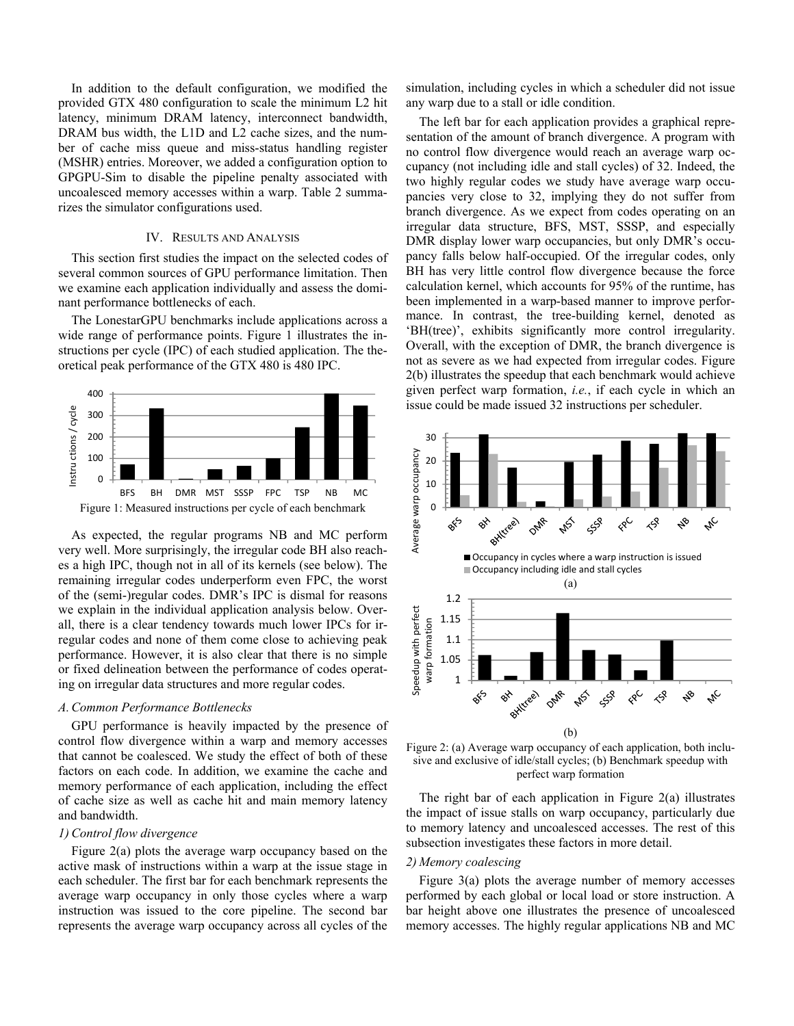In addition to the default configuration, we modified the provided GTX 480 configuration to scale the minimum L2 hit latency, minimum DRAM latency, interconnect bandwidth, DRAM bus width, the L1D and L2 cache sizes, and the number of cache miss queue and miss-status handling register (MSHR) entries. Moreover, we added a configuration option to GPGPU-Sim to disable the pipeline penalty associated with uncoalesced memory accesses within a warp. Table 2 summarizes the simulator configurations used.

# IV. RESULTS AND ANALYSIS

This section first studies the impact on the selected codes of several common sources of GPU performance limitation. Then we examine each application individually and assess the dominant performance bottlenecks of each.

The LonestarGPU benchmarks include applications across a wide range of performance points. Figure 1 illustrates the instructions per cycle (IPC) of each studied application. The theoretical peak performance of the GTX 480 is 480 IPC.



As expected, the regular programs NB and MC perform very well. More surprisingly, the irregular code BH also reaches a high IPC, though not in all of its kernels (see below). The remaining irregular codes underperform even FPC, the worst of the (semi-)regular codes. DMR's IPC is dismal for reasons we explain in the individual application analysis below. Overall, there is a clear tendency towards much lower IPCs for irregular codes and none of them come close to achieving peak performance. However, it is also clear that there is no simple or fixed delineation between the performance of codes operating on irregular data structures and more regular codes.

#### *A.Common Performance Bottlenecks*

GPU performance is heavily impacted by the presence of control flow divergence within a warp and memory accesses that cannot be coalesced. We study the effect of both of these factors on each code. In addition, we examine the cache and memory performance of each application, including the effect of cache size as well as cache hit and main memory latency and bandwidth.

# *1) Control flow divergence*

Figure 2(a) plots the average warp occupancy based on the active mask of instructions within a warp at the issue stage in each scheduler. The first bar for each benchmark represents the average warp occupancy in only those cycles where a warp instruction was issued to the core pipeline. The second bar represents the average warp occupancy across all cycles of the simulation, including cycles in which a scheduler did not issue any warp due to a stall or idle condition.

The left bar for each application provides a graphical representation of the amount of branch divergence. A program with no control flow divergence would reach an average warp occupancy (not including idle and stall cycles) of 32. Indeed, the two highly regular codes we study have average warp occupancies very close to 32, implying they do not suffer from branch divergence. As we expect from codes operating on an irregular data structure, BFS, MST, SSSP, and especially DMR display lower warp occupancies, but only DMR's occupancy falls below half-occupied. Of the irregular codes, only BH has very little control flow divergence because the force calculation kernel, which accounts for 95% of the runtime, has been implemented in a warp-based manner to improve performance. In contrast, the tree-building kernel, denoted as 'BH(tree)', exhibits significantly more control irregularity. Overall, with the exception of DMR, the branch divergence is not as severe as we had expected from irregular codes. Figure 2(b) illustrates the speedup that each benchmark would achieve given perfect warp formation, *i.e.*, if each cycle in which an issue could be made issued 32 instructions per scheduler.



Figure 2: (a) Average warp occupancy of each application, both inclusive and exclusive of idle/stall cycles; (b) Benchmark speedup with perfect warp formation

The right bar of each application in Figure 2(a) illustrates the impact of issue stalls on warp occupancy, particularly due to memory latency and uncoalesced accesses. The rest of this subsection investigates these factors in more detail.

## *2) Memory coalescing*

Figure 3(a) plots the average number of memory accesses performed by each global or local load or store instruction. A bar height above one illustrates the presence of uncoalesced memory accesses. The highly regular applications NB and MC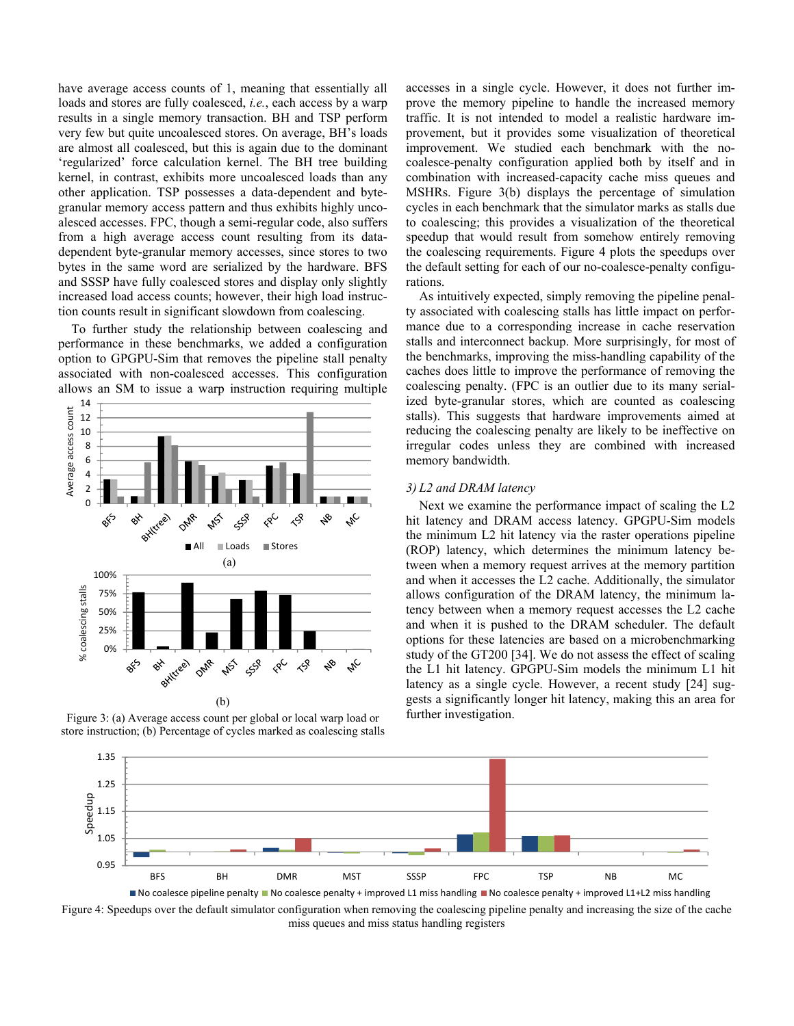have average access counts of 1, meaning that essentially all loads and stores are fully coalesced, *i.e.*, each access by a warp results in a single memory transaction. BH and TSP perform very few but quite uncoalesced stores. On average, BH's loads are almost all coalesced, but this is again due to the dominant 'regularized' force calculation kernel. The BH tree building kernel, in contrast, exhibits more uncoalesced loads than any other application. TSP possesses a data-dependent and bytegranular memory access pattern and thus exhibits highly uncoalesced accesses. FPC, though a semi-regular code, also suffers from a high average access count resulting from its datadependent byte-granular memory accesses, since stores to two bytes in the same word are serialized by the hardware. BFS and SSSP have fully coalesced stores and display only slightly increased load access counts; however, their high load instruction counts result in significant slowdown from coalescing.

To further study the relationship between coalescing and performance in these benchmarks, we added a configuration option to GPGPU-Sim that removes the pipeline stall penalty associated with non-coalesced accesses. This configuration allows an SM to issue a warp instruction requiring multiple



Figure 3: (a) Average access count per global or local warp load or store instruction; (b) Percentage of cycles marked as coalescing stalls

accesses in a single cycle. However, it does not further improve the memory pipeline to handle the increased memory traffic. It is not intended to model a realistic hardware improvement, but it provides some visualization of theoretical improvement. We studied each benchmark with the nocoalesce-penalty configuration applied both by itself and in combination with increased-capacity cache miss queues and MSHRs. Figure 3(b) displays the percentage of simulation cycles in each benchmark that the simulator marks as stalls due to coalescing; this provides a visualization of the theoretical speedup that would result from somehow entirely removing the coalescing requirements. Figure 4 plots the speedups over the default setting for each of our no-coalesce-penalty configurations.

As intuitively expected, simply removing the pipeline penalty associated with coalescing stalls has little impact on performance due to a corresponding increase in cache reservation stalls and interconnect backup. More surprisingly, for most of the benchmarks, improving the miss-handling capability of the caches does little to improve the performance of removing the coalescing penalty. (FPC is an outlier due to its many serialized byte-granular stores, which are counted as coalescing stalls). This suggests that hardware improvements aimed at reducing the coalescing penalty are likely to be ineffective on irregular codes unless they are combined with increased memory bandwidth.

#### *3) L2 and DRAM latency*

Next we examine the performance impact of scaling the L2 hit latency and DRAM access latency. GPGPU-Sim models the minimum L2 hit latency via the raster operations pipeline (ROP) latency, which determines the minimum latency between when a memory request arrives at the memory partition and when it accesses the L2 cache. Additionally, the simulator allows configuration of the DRAM latency, the minimum latency between when a memory request accesses the L2 cache and when it is pushed to the DRAM scheduler. The default options for these latencies are based on a microbenchmarking study of the GT200 [34]. We do not assess the effect of scaling the L1 hit latency. GPGPU-Sim models the minimum L1 hit latency as a single cycle. However, a recent study [24] suggests a significantly longer hit latency, making this an area for further investigation.



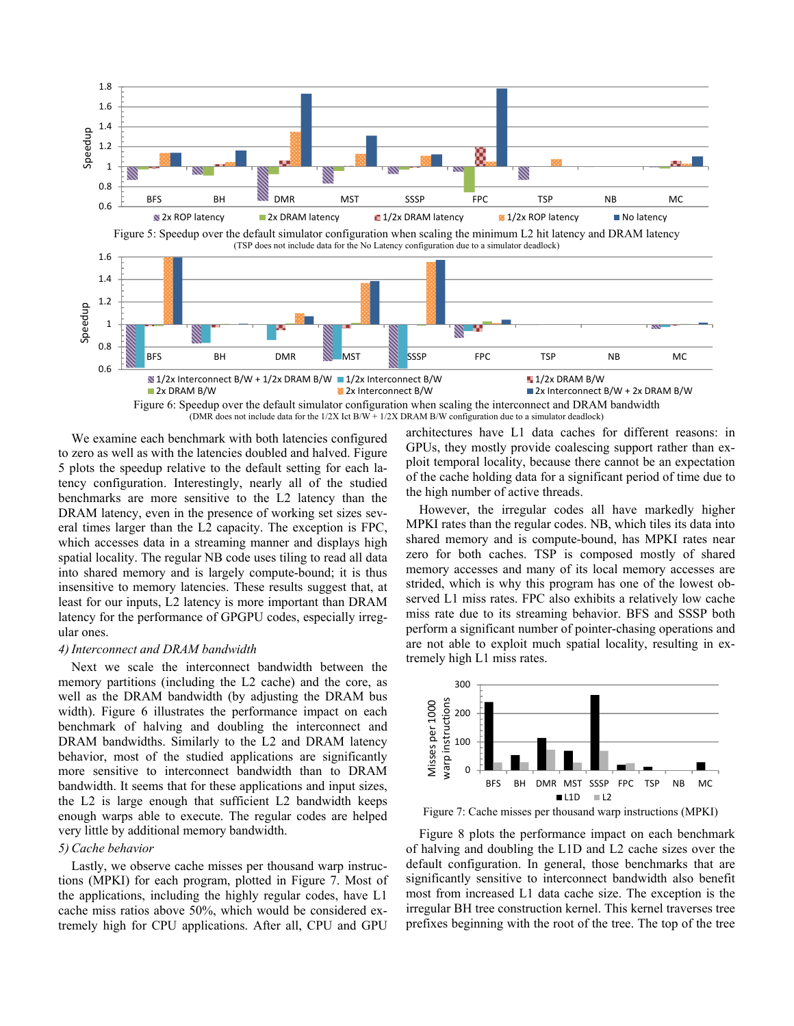

Figure 6: Speedup over the default simulator configuration when scaling the interconnect and DRAM bandwidth (DMR does not include data for the  $1/2X$  Ict B/W +  $1/2X$  DRAM B/W configuration due to a simulator deadlock)

We examine each benchmark with both latencies configured to zero as well as with the latencies doubled and halved. Figure 5 plots the speedup relative to the default setting for each latency configuration. Interestingly, nearly all of the studied benchmarks are more sensitive to the L2 latency than the DRAM latency, even in the presence of working set sizes several times larger than the L2 capacity. The exception is FPC, which accesses data in a streaming manner and displays high spatial locality. The regular NB code uses tiling to read all data into shared memory and is largely compute-bound; it is thus insensitive to memory latencies. These results suggest that, at least for our inputs, L2 latency is more important than DRAM latency for the performance of GPGPU codes, especially irregular ones.

## *4) Interconnect and DRAM bandwidth*

Next we scale the interconnect bandwidth between the memory partitions (including the L2 cache) and the core, as well as the DRAM bandwidth (by adjusting the DRAM bus width). Figure 6 illustrates the performance impact on each benchmark of halving and doubling the interconnect and DRAM bandwidths. Similarly to the L2 and DRAM latency behavior, most of the studied applications are significantly more sensitive to interconnect bandwidth than to DRAM bandwidth. It seems that for these applications and input sizes, the L2 is large enough that sufficient L2 bandwidth keeps enough warps able to execute. The regular codes are helped very little by additional memory bandwidth.

## *5) Cache behavior*

Lastly, we observe cache misses per thousand warp instructions (MPKI) for each program, plotted in Figure 7. Most of the applications, including the highly regular codes, have L1 cache miss ratios above 50%, which would be considered extremely high for CPU applications. After all, CPU and GPU

architectures have L1 data caches for different reasons: in GPUs, they mostly provide coalescing support rather than exploit temporal locality, because there cannot be an expectation of the cache holding data for a significant period of time due to the high number of active threads.

However, the irregular codes all have markedly higher MPKI rates than the regular codes. NB, which tiles its data into shared memory and is compute-bound, has MPKI rates near zero for both caches. TSP is composed mostly of shared memory accesses and many of its local memory accesses are strided, which is why this program has one of the lowest observed L1 miss rates. FPC also exhibits a relatively low cache miss rate due to its streaming behavior. BFS and SSSP both perform a significant number of pointer-chasing operations and are not able to exploit much spatial locality, resulting in extremely high L1 miss rates.



Figure 7: Cache misses per thousand warp instructions (MPKI)

Figure 8 plots the performance impact on each benchmark of halving and doubling the L1D and L2 cache sizes over the default configuration. In general, those benchmarks that are significantly sensitive to interconnect bandwidth also benefit most from increased L1 data cache size. The exception is the irregular BH tree construction kernel. This kernel traverses tree prefixes beginning with the root of the tree. The top of the tree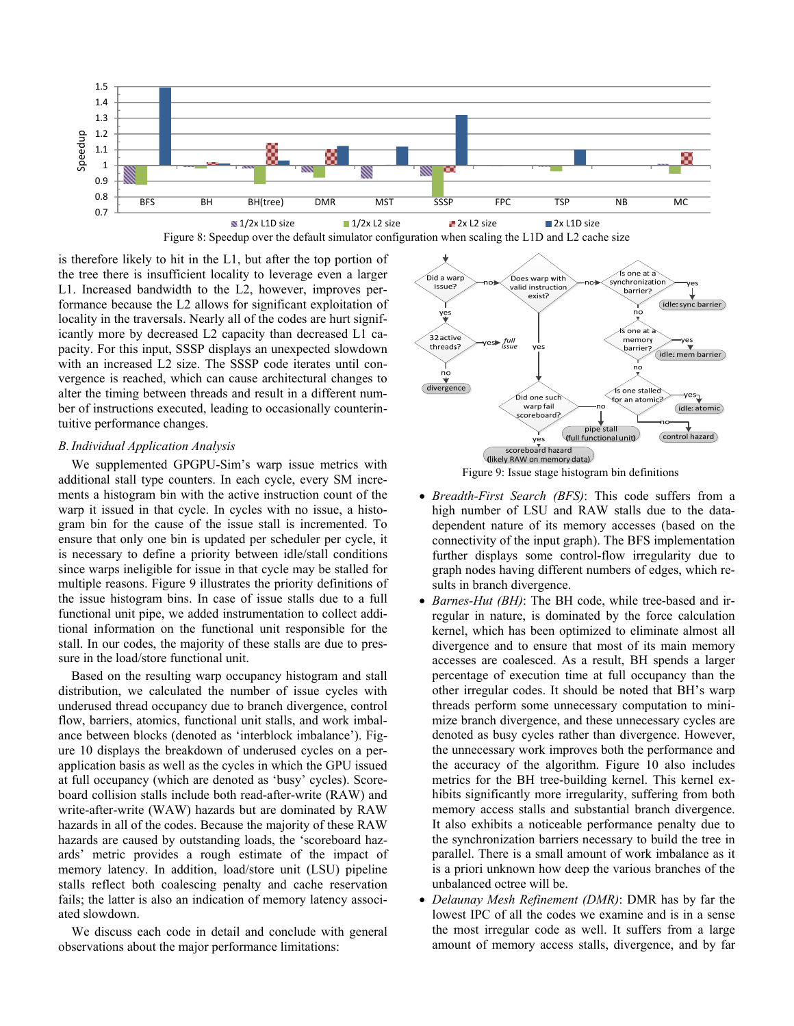

Figure 8: Speedup over the default simulator configuration when scaling the L1D and L2 cache size

is therefore likely to hit in the L1, but after the top portion of the tree there is insufficient locality to leverage even a larger L1. Increased bandwidth to the L2, however, improves performance because the L2 allows for significant exploitation of locality in the traversals. Nearly all of the codes are hurt significantly more by decreased L2 capacity than decreased L1 capacity. For this input, SSSP displays an unexpected slowdown with an increased L2 size. The SSSP code iterates until convergence is reached, which can cause architectural changes to alter the timing between threads and result in a different number of instructions executed, leading to occasionally counterintuitive performance changes.

# *B.Individual Application Analysis*

We supplemented GPGPU-Sim's warp issue metrics with additional stall type counters. In each cycle, every SM increments a histogram bin with the active instruction count of the warp it issued in that cycle. In cycles with no issue, a histogram bin for the cause of the issue stall is incremented. To ensure that only one bin is updated per scheduler per cycle, it is necessary to define a priority between idle/stall conditions since warps ineligible for issue in that cycle may be stalled for multiple reasons. Figure 9 illustrates the priority definitions of the issue histogram bins. In case of issue stalls due to a full functional unit pipe, we added instrumentation to collect additional information on the functional unit responsible for the stall. In our codes, the majority of these stalls are due to pressure in the load/store functional unit.

Based on the resulting warp occupancy histogram and stall distribution, we calculated the number of issue cycles with underused thread occupancy due to branch divergence, control flow, barriers, atomics, functional unit stalls, and work imbalance between blocks (denoted as 'interblock imbalance'). Figure 10 displays the breakdown of underused cycles on a perapplication basis as well as the cycles in which the GPU issued at full occupancy (which are denoted as 'busy' cycles). Scoreboard collision stalls include both read-after-write (RAW) and write-after-write (WAW) hazards but are dominated by RAW hazards in all of the codes. Because the majority of these RAW hazards are caused by outstanding loads, the 'scoreboard hazards' metric provides a rough estimate of the impact of memory latency. In addition, load/store unit (LSU) pipeline stalls reflect both coalescing penalty and cache reservation fails; the latter is also an indication of memory latency associated slowdown.

We discuss each code in detail and conclude with general observations about the major performance limitations:



Figure 9: Issue stage histogram bin definitions

- *Breadth-First Search (BFS)*: This code suffers from a high number of LSU and RAW stalls due to the datadependent nature of its memory accesses (based on the connectivity of the input graph). The BFS implementation further displays some control-flow irregularity due to graph nodes having different numbers of edges, which results in branch divergence.
- *Barnes-Hut (BH)*: The BH code, while tree-based and irregular in nature, is dominated by the force calculation kernel, which has been optimized to eliminate almost all divergence and to ensure that most of its main memory accesses are coalesced. As a result, BH spends a larger percentage of execution time at full occupancy than the other irregular codes. It should be noted that BH's warp threads perform some unnecessary computation to minimize branch divergence, and these unnecessary cycles are denoted as busy cycles rather than divergence. However, the unnecessary work improves both the performance and the accuracy of the algorithm. Figure 10 also includes metrics for the BH tree-building kernel. This kernel exhibits significantly more irregularity, suffering from both memory access stalls and substantial branch divergence. It also exhibits a noticeable performance penalty due to the synchronization barriers necessary to build the tree in parallel. There is a small amount of work imbalance as it is a priori unknown how deep the various branches of the unbalanced octree will be.
- *Delaunay Mesh Refinement (DMR)*: DMR has by far the lowest IPC of all the codes we examine and is in a sense the most irregular code as well. It suffers from a large amount of memory access stalls, divergence, and by far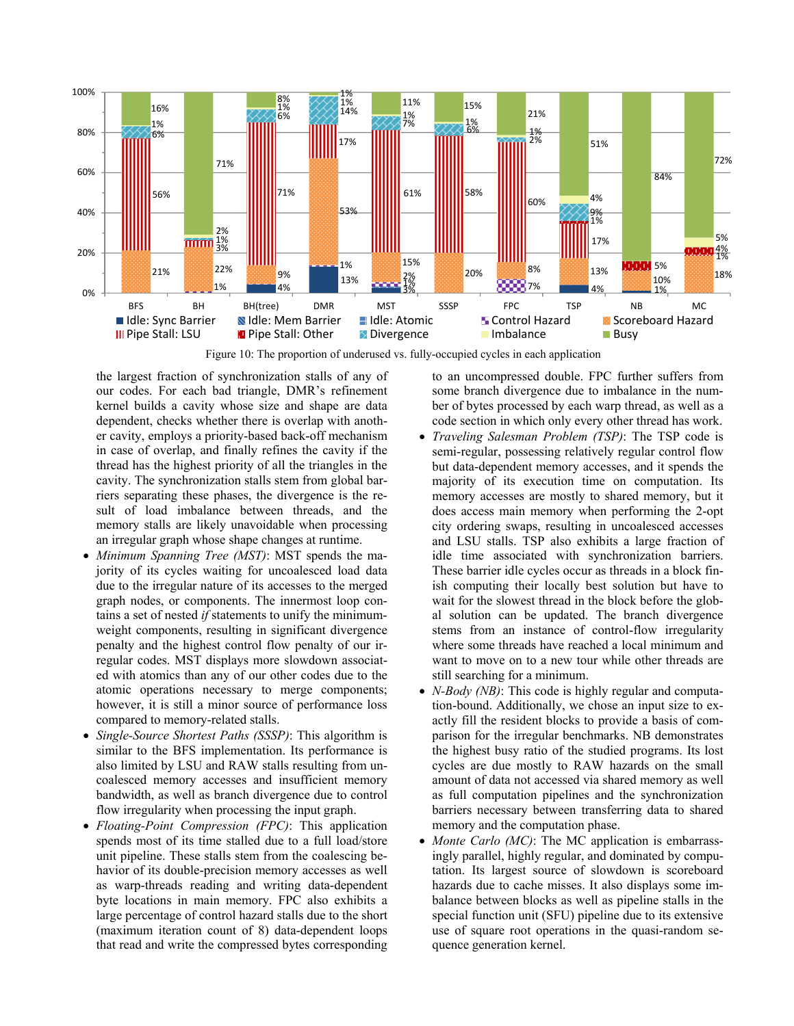

Figure 10: The proportion of underused vs. fully-occupied cycles in each application

the largest fraction of synchronization stalls of any of our codes. For each bad triangle, DMR's refinement kernel builds a cavity whose size and shape are data dependent, checks whether there is overlap with another cavity, employs a priority-based back-off mechanism in case of overlap, and finally refines the cavity if the thread has the highest priority of all the triangles in the cavity. The synchronization stalls stem from global barriers separating these phases, the divergence is the result of load imbalance between threads, and the memory stalls are likely unavoidable when processing an irregular graph whose shape changes at runtime.

- *Minimum Spanning Tree (MST)*: MST spends the majority of its cycles waiting for uncoalesced load data due to the irregular nature of its accesses to the merged graph nodes, or components. The innermost loop contains a set of nested *if* statements to unify the minimumweight components, resulting in significant divergence penalty and the highest control flow penalty of our irregular codes. MST displays more slowdown associated with atomics than any of our other codes due to the atomic operations necessary to merge components; however, it is still a minor source of performance loss compared to memory-related stalls.
- *Single-Source Shortest Paths (SSSP)*: This algorithm is similar to the BFS implementation. Its performance is also limited by LSU and RAW stalls resulting from uncoalesced memory accesses and insufficient memory bandwidth, as well as branch divergence due to control flow irregularity when processing the input graph.
- *Floating-Point Compression (FPC)*: This application spends most of its time stalled due to a full load/store unit pipeline. These stalls stem from the coalescing behavior of its double-precision memory accesses as well as warp-threads reading and writing data-dependent byte locations in main memory. FPC also exhibits a large percentage of control hazard stalls due to the short (maximum iteration count of 8) data-dependent loops that read and write the compressed bytes corresponding

to an uncompressed double. FPC further suffers from some branch divergence due to imbalance in the number of bytes processed by each warp thread, as well as a code section in which only every other thread has work.

- *Traveling Salesman Problem (TSP)*: The TSP code is semi-regular, possessing relatively regular control flow but data-dependent memory accesses, and it spends the majority of its execution time on computation. Its memory accesses are mostly to shared memory, but it does access main memory when performing the 2-opt city ordering swaps, resulting in uncoalesced accesses and LSU stalls. TSP also exhibits a large fraction of idle time associated with synchronization barriers. These barrier idle cycles occur as threads in a block finish computing their locally best solution but have to wait for the slowest thread in the block before the global solution can be updated. The branch divergence stems from an instance of control-flow irregularity where some threads have reached a local minimum and want to move on to a new tour while other threads are still searching for a minimum.
- *N-Body (NB)*: This code is highly regular and computation-bound. Additionally, we chose an input size to exactly fill the resident blocks to provide a basis of comparison for the irregular benchmarks. NB demonstrates the highest busy ratio of the studied programs. Its lost cycles are due mostly to RAW hazards on the small amount of data not accessed via shared memory as well as full computation pipelines and the synchronization barriers necessary between transferring data to shared memory and the computation phase.
- *Monte Carlo (MC)*: The MC application is embarrassingly parallel, highly regular, and dominated by computation. Its largest source of slowdown is scoreboard hazards due to cache misses. It also displays some imbalance between blocks as well as pipeline stalls in the special function unit (SFU) pipeline due to its extensive use of square root operations in the quasi-random sequence generation kernel.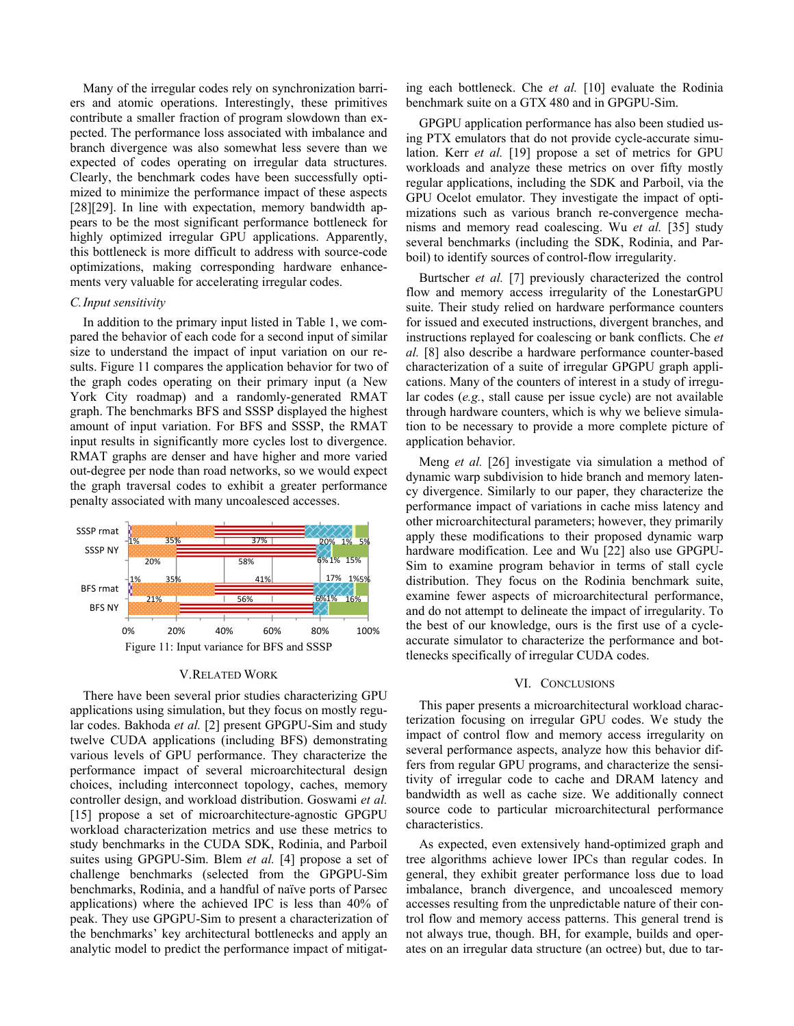Many of the irregular codes rely on synchronization barriers and atomic operations. Interestingly, these primitives contribute a smaller fraction of program slowdown than expected. The performance loss associated with imbalance and branch divergence was also somewhat less severe than we expected of codes operating on irregular data structures. Clearly, the benchmark codes have been successfully optimized to minimize the performance impact of these aspects [28][29]. In line with expectation, memory bandwidth appears to be the most significant performance bottleneck for highly optimized irregular GPU applications. Apparently, this bottleneck is more difficult to address with source-code optimizations, making corresponding hardware enhancements very valuable for accelerating irregular codes.

#### *C.Input sensitivity*

In addition to the primary input listed in Table 1, we compared the behavior of each code for a second input of similar size to understand the impact of input variation on our results. Figure 11 compares the application behavior for two of the graph codes operating on their primary input (a New York City roadmap) and a randomly-generated RMAT graph. The benchmarks BFS and SSSP displayed the highest amount of input variation. For BFS and SSSP, the RMAT input results in significantly more cycles lost to divergence. RMAT graphs are denser and have higher and more varied out-degree per node than road networks, so we would expect the graph traversal codes to exhibit a greater performance penalty associated with many uncoalesced accesses.



#### V.RELATED WORK

There have been several prior studies characterizing GPU applications using simulation, but they focus on mostly regular codes. Bakhoda *et al.* [2] present GPGPU-Sim and study twelve CUDA applications (including BFS) demonstrating various levels of GPU performance. They characterize the performance impact of several microarchitectural design choices, including interconnect topology, caches, memory controller design, and workload distribution. Goswami *et al.* [15] propose a set of microarchitecture-agnostic GPGPU workload characterization metrics and use these metrics to study benchmarks in the CUDA SDK, Rodinia, and Parboil suites using GPGPU-Sim. Blem *et al.* [4] propose a set of challenge benchmarks (selected from the GPGPU-Sim benchmarks, Rodinia, and a handful of naïve ports of Parsec applications) where the achieved IPC is less than 40% of peak. They use GPGPU-Sim to present a characterization of the benchmarks' key architectural bottlenecks and apply an analytic model to predict the performance impact of mitigating each bottleneck. Che *et al.* [10] evaluate the Rodinia benchmark suite on a GTX 480 and in GPGPU-Sim.

GPGPU application performance has also been studied using PTX emulators that do not provide cycle-accurate simulation. Kerr *et al.* [19] propose a set of metrics for GPU workloads and analyze these metrics on over fifty mostly regular applications, including the SDK and Parboil, via the GPU Ocelot emulator. They investigate the impact of optimizations such as various branch re-convergence mechanisms and memory read coalescing. Wu *et al.* [35] study several benchmarks (including the SDK, Rodinia, and Parboil) to identify sources of control-flow irregularity.

Burtscher *et al.* [7] previously characterized the control flow and memory access irregularity of the LonestarGPU suite. Their study relied on hardware performance counters for issued and executed instructions, divergent branches, and instructions replayed for coalescing or bank conflicts. Che *et al.* [8] also describe a hardware performance counter-based characterization of a suite of irregular GPGPU graph applications. Many of the counters of interest in a study of irregular codes (*e.g.*, stall cause per issue cycle) are not available through hardware counters, which is why we believe simulation to be necessary to provide a more complete picture of application behavior.

Meng *et al.* [26] investigate via simulation a method of dynamic warp subdivision to hide branch and memory latency divergence. Similarly to our paper, they characterize the performance impact of variations in cache miss latency and other microarchitectural parameters; however, they primarily apply these modifications to their proposed dynamic warp hardware modification. Lee and Wu [22] also use GPGPU-Sim to examine program behavior in terms of stall cycle distribution. They focus on the Rodinia benchmark suite, examine fewer aspects of microarchitectural performance, and do not attempt to delineate the impact of irregularity. To the best of our knowledge, ours is the first use of a cycleaccurate simulator to characterize the performance and bottlenecks specifically of irregular CUDA codes.

#### VI. CONCLUSIONS

This paper presents a microarchitectural workload characterization focusing on irregular GPU codes. We study the impact of control flow and memory access irregularity on several performance aspects, analyze how this behavior differs from regular GPU programs, and characterize the sensitivity of irregular code to cache and DRAM latency and bandwidth as well as cache size. We additionally connect source code to particular microarchitectural performance characteristics.

As expected, even extensively hand-optimized graph and tree algorithms achieve lower IPCs than regular codes. In general, they exhibit greater performance loss due to load imbalance, branch divergence, and uncoalesced memory accesses resulting from the unpredictable nature of their control flow and memory access patterns. This general trend is not always true, though. BH, for example, builds and operates on an irregular data structure (an octree) but, due to tar